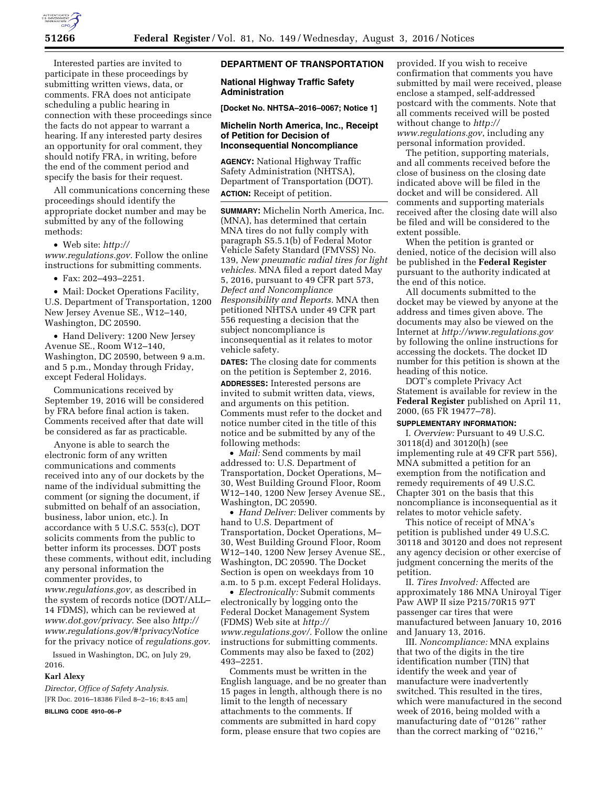

Interested parties are invited to participate in these proceedings by submitting written views, data, or comments. FRA does not anticipate scheduling a public hearing in connection with these proceedings since the facts do not appear to warrant a hearing. If any interested party desires an opportunity for oral comment, they should notify FRA, in writing, before the end of the comment period and specify the basis for their request.

All communications concerning these proceedings should identify the appropriate docket number and may be submitted by any of the following methods:

• Web site: *[http://](http://www.regulations.gov) [www.regulations.gov.](http://www.regulations.gov)* Follow the online instructions for submitting comments.

• Fax: 202–493–2251.

• Mail: Docket Operations Facility, U.S. Department of Transportation, 1200 New Jersey Avenue SE., W12–140, Washington, DC 20590.

• Hand Delivery: 1200 New Jersey Avenue SE., Room W12–140, Washington, DC 20590, between 9 a.m. and 5 p.m., Monday through Friday, except Federal Holidays.

Communications received by September 19, 2016 will be considered by FRA before final action is taken. Comments received after that date will be considered as far as practicable.

Anyone is able to search the electronic form of any written communications and comments received into any of our dockets by the name of the individual submitting the comment (or signing the document, if submitted on behalf of an association, business, labor union, etc.). In accordance with 5 U.S.C. 553(c), DOT solicits comments from the public to better inform its processes. DOT posts these comments, without edit, including any personal information the commenter provides, to *[www.regulations.gov,](http://www.regulations.gov)* as described in the system of records notice (DOT/ALL– 14 FDMS), which can be reviewed at *[www.dot.gov/privacy.](http://www.dot.gov/privacy)* See also *[http://](http://www.regulations.gov/#!privacyNotice) [www.regulations.gov/#!privacyNotice](http://www.regulations.gov/#!privacyNotice)*  for the privacy notice of *regulations.gov.* 

Issued in Washington, DC, on July 29, 2016.

# **Karl Alexy**

*Director, Office of Safety Analysis.*  [FR Doc. 2016–18386 Filed 8–2–16; 8:45 am]

**BILLING CODE 4910–06–P** 

# **DEPARTMENT OF TRANSPORTATION**

#### **National Highway Traffic Safety Administration**

**[Docket No. NHTSA–2016–0067; Notice 1]** 

## **Michelin North America, Inc., Receipt of Petition for Decision of Inconsequential Noncompliance**

**AGENCY:** National Highway Traffic Safety Administration (NHTSA), Department of Transportation (DOT). **ACTION:** Receipt of petition.

**SUMMARY:** Michelin North America, Inc. (MNA), has determined that certain MNA tires do not fully comply with paragraph S5.5.1(b) of Federal Motor Vehicle Safety Standard (FMVSS) No. 139, *New pneumatic radial tires for light vehicles.* MNA filed a report dated May 5, 2016, pursuant to 49 CFR part 573, *Defect and Noncompliance Responsibility and Reports.* MNA then petitioned NHTSA under 49 CFR part 556 requesting a decision that the subject noncompliance is inconsequential as it relates to motor vehicle safety.

**DATES:** The closing date for comments on the petition is September 2, 2016.

**ADDRESSES:** Interested persons are invited to submit written data, views, and arguments on this petition. Comments must refer to the docket and notice number cited in the title of this notice and be submitted by any of the following methods:

• *Mail:* Send comments by mail addressed to: U.S. Department of Transportation, Docket Operations, M– 30, West Building Ground Floor, Room W12–140, 1200 New Jersey Avenue SE., Washington, DC 20590.

• *Hand Deliver:* Deliver comments by hand to U.S. Department of Transportation, Docket Operations, M– 30, West Building Ground Floor, Room W12–140, 1200 New Jersey Avenue SE., Washington, DC 20590. The Docket Section is open on weekdays from 10 a.m. to 5 p.m. except Federal Holidays.

• *Electronically:* Submit comments electronically by logging onto the Federal Docket Management System (FDMS) Web site at *[http://](http://www.regulations.gov/) [www.regulations.gov/.](http://www.regulations.gov/)* Follow the online instructions for submitting comments. Comments may also be faxed to (202) 493–2251.

Comments must be written in the English language, and be no greater than 15 pages in length, although there is no limit to the length of necessary attachments to the comments. If comments are submitted in hard copy form, please ensure that two copies are

provided. If you wish to receive confirmation that comments you have submitted by mail were received, please enclose a stamped, self-addressed postcard with the comments. Note that all comments received will be posted without change to *[http://](http://www.regulations.gov) [www.regulations.gov](http://www.regulations.gov)*, including any personal information provided.

The petition, supporting materials, and all comments received before the close of business on the closing date indicated above will be filed in the docket and will be considered. All comments and supporting materials received after the closing date will also be filed and will be considered to the extent possible.

When the petition is granted or denied, notice of the decision will also be published in the **Federal Register**  pursuant to the authority indicated at the end of this notice.

All documents submitted to the docket may be viewed by anyone at the address and times given above. The documents may also be viewed on the Internet at *<http://www.regulations.gov>*  by following the online instructions for accessing the dockets. The docket ID number for this petition is shown at the heading of this notice.

DOT's complete Privacy Act Statement is available for review in the **Federal Register** published on April 11, 2000, (65 FR 19477–78).

## **SUPPLEMENTARY INFORMATION:**

I. *Overview:* Pursuant to 49 U.S.C. 30118(d) and 30120(h) (see implementing rule at 49 CFR part 556), MNA submitted a petition for an exemption from the notification and remedy requirements of 49 U.S.C. Chapter 301 on the basis that this noncompliance is inconsequential as it relates to motor vehicle safety.

This notice of receipt of MNA's petition is published under 49 U.S.C. 30118 and 30120 and does not represent any agency decision or other exercise of judgment concerning the merits of the petition.

II. *Tires Involved:* Affected are approximately 186 MNA Uniroyal Tiger Paw AWP II size P215/70R15 97T passenger car tires that were manufactured between January 10, 2016 and January 13, 2016.

III. *Noncompliance:* MNA explains that two of the digits in the tire identification number (TIN) that identify the week and year of manufacture were inadvertently switched. This resulted in the tires, which were manufactured in the second week of 2016, being molded with a manufacturing date of ''0126'' rather than the correct marking of ''0216,''